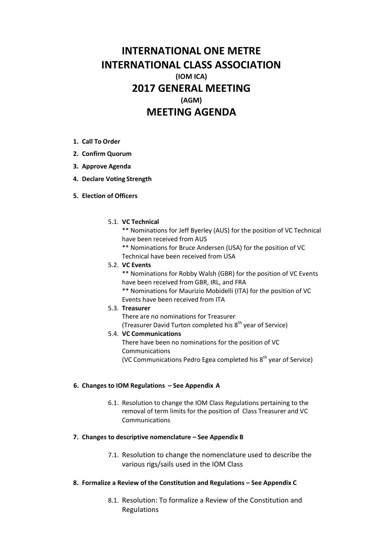# **INTERNATIONAL ONE METRE INTERNATIONAL CLASS ASSOCIATION (IOM ICA) 2017 GENERAL MEETING (AGM) MEETING AGENDA**

- **1. Call To Order**
- **2. Confirm Quorum**
- **3. Approve Agenda**
- **4. Declare Voting Strength**
- **5. Election of Officers**

## 5.1. **VC Technical**

\*\* Nominations for Jeff Byerley (AUS) for the position of VC Technical have been received from AUS

\*\* Nominations for Bruce Andersen (USA) for the position of VC Technical have been received from USA

5.2. **VC Events**

\*\* Nominations for Robby Walsh (GBR) for the position of VC Events have been received from GBR, IRL, and FRA

\*\* Nominations for Maurizio Mobidelli (ITA) for the position of VC Events have been received from ITA

#### 5.3. **Treasurer**

There are no nominations for Treasurer (Treasurer David Turton completed his  $8<sup>th</sup>$  year of Service)

## 5.4. **VC Communications**

There have been no nominations for the position of VC Communications

(VC Communications Pedro Egea completed his 8<sup>th</sup> year of Service)

## **6. Changes to IOM Regulations – See Appendix A**

6.1. Resolution to change the IOM Class Regulations pertaining to the removal of term limits for the position of Class Treasurer and VC Communications

## **7. Changes to descriptive nomenclature – See Appendix B**

7.1. Resolution to change the nomenclature used to describe the various rigs/sails used in the IOM Class

## **8. Formalize a Review of the Constitution and Regulations – See Appendix C**

8.1. Resolution: To formalize a Review of the Constitution and Regulations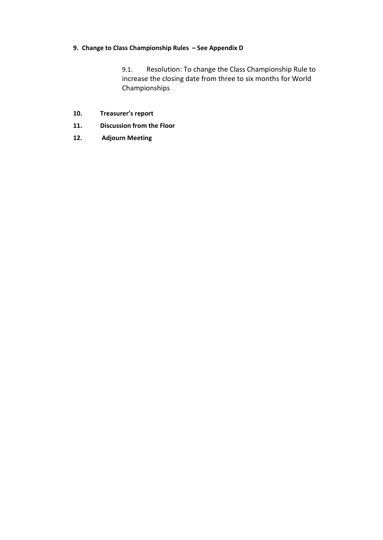## **9. Change to Class Championship Rules – See Appendix D**

9.1. Resolution: To change the Class Championship Rule to increase the closing date from three to six months for World Championships

- **10. Treasurer's report**
- **11. Discussion from the Floor**
- **12. Adjourn Meeting**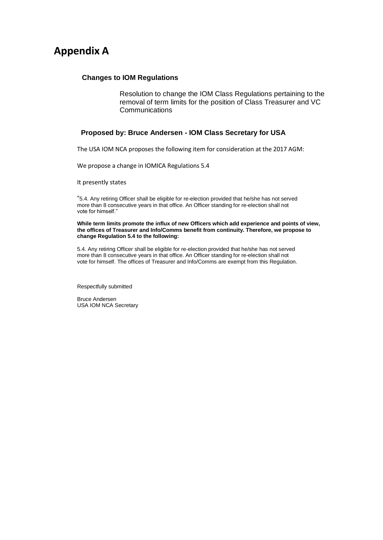## **Appendix A**

## **Changes to IOM Regulations**

Resolution to change the IOM Class Regulations pertaining to the removal of term limits for the position of Class Treasurer and VC Communications

#### **Proposed by: Bruce Andersen - IOM Class Secretary for USA**

The USA IOM NCA proposes the following item for consideration at the 2017 AGM:

We propose a change in IOMICA Regulations 5.4

It presently states

"5.4. Any retiring Officer shall be eligible for re-election provided that he/she has not served more than 8 consecutive years in that office. An Officer standing for re-election shall not vote for himself."

**While term limits promote the influx of new Officers which add experience and points of view, the offices of Treasurer and Info/Comms benefit from continuity. Therefore, we propose to change Regulation 5.4 to the following:**

5.4. Any retiring Officer shall be eligible for re-election provided that he/she has not served more than 8 consecutive years in that office. An Officer standing for re-election shall not vote for himself. The offices of Treasurer and Info/Comms are exempt from this Regulation.

Respectfully submitted

Bruce Andersen USA IOM NCA Secretary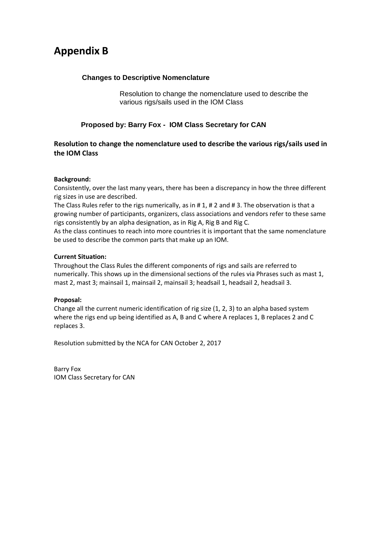# **Appendix B**

## **Changes to Descriptive Nomenclature**

Resolution to change the nomenclature used to describe the various rigs/sails used in the IOM Class

## **Proposed by: Barry Fox - IOM Class Secretary for CAN**

## **Resolution to change the nomenclature used to describe the various rigs/sails used in the IOM Class**

## **Background:**

Consistently, over the last many years, there has been a discrepancy in how the three different rig sizes in use are described.

The Class Rules refer to the rigs numerically, as in # 1, # 2 and # 3. The observation is that a growing number of participants, organizers, class associations and vendors refer to these same rigs consistently by an alpha designation, as in Rig A, Rig B and Rig C.

As the class continues to reach into more countries it is important that the same nomenclature be used to describe the common parts that make up an IOM.

## **Current Situation:**

Throughout the Class Rules the different components of rigs and sails are referred to numerically. This shows up in the dimensional sections of the rules via Phrases such as mast 1, mast 2, mast 3; mainsail 1, mainsail 2, mainsail 3; headsail 1, headsail 2, headsail 3.

#### **Proposal:**

Change all the current numeric identification of rig size (1, 2, 3) to an alpha based system where the rigs end up being identified as A, B and C where A replaces 1, B replaces 2 and C replaces 3.

Resolution submitted by the NCA for CAN October 2, 2017

Barry Fox IOM Class Secretary for CAN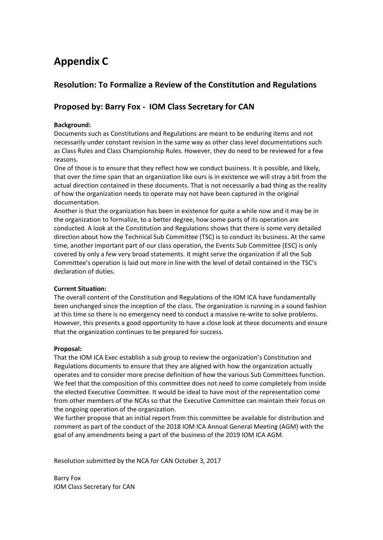# **Appendix C**

## **Resolution: To Formalize a Review of the Constitution and Regulations**

## **Proposed by: Barry Fox - IOM Class Secretary for CAN**

## **Background:**

Documents such as Constitutions and Regulations are meant to be enduring items and not necessarily under constant revision in the same way as other class level documentations such as Class Rules and Class Championship Rules. However, they do need to be reviewed for a few reasons.

One of those is to ensure that they reflect how we conduct business. It is possible, and likely, that over the time span that an organization like ours is in existence we will stray a bit from the actual direction contained in these documents. That is not necessarily a bad thing as the reality of how the organization needs to operate may not have been captured in the original documentation.

Another is that the organization has been in existence for quite a while now and it may be in the organization to formalize, to a better degree, how some parts of its operation are conducted. A look at the Constitution and Regulations shows that there is some very detailed direction about how the Technical Sub Committee (TSC) is to conduct its business. At the same time, another important part of our class operation, the Events Sub Committee (ESC) is only covered by only a few very broad statements. It might serve the organization if all the Sub Committee's operation is laid out more in line with the level of detail contained in the TSC's declaration of duties.

#### **Current Situation:**

The overall content of the Constitution and Regulations of the IOM ICA have fundamentally been unchanged since the inception of the class. The organization is running in a sound fashion at this time so there is no emergency need to conduct a massive re-write to solve problems. However, this presents a good opportunity to have a close look at these documents and ensure that the organization continues to be prepared for success.

#### **Proposal:**

That the IOM ICA Exec establish a sub group to review the organization's Constitution and Regulations documents to ensure that they are aligned with how the organization actually operates and to consider more precise definition of how the various Sub Committees function. We feel that the composition of this committee does not need to come completely from inside the elected Executive Committee. It would be ideal to have most of the representation come from other members of the NCAs so that the Executive Committee can maintain their focus on the ongoing operation of the organization.

We further propose that an initial report from this committee be available for distribution and comment as part of the conduct of the 2018 IOM ICA Annual General Meeting (AGM) with the goal of any amendments being a part of the business of the 2019 IOM ICA AGM.

Resolution submitted by the NCA for CAN October 3, 2017

Barry Fox IOM Class Secretary for CAN